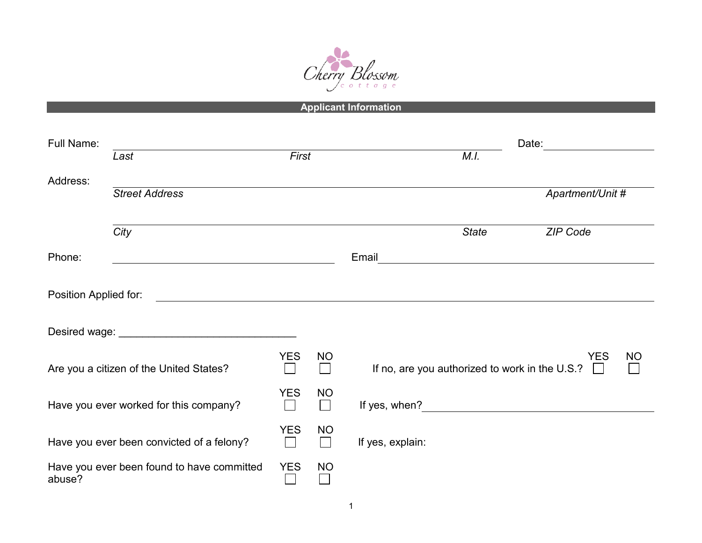

**Applicant Information**

| Full Name:                                           |                                                                                                                      |            |           | Date:                                                                   |           |
|------------------------------------------------------|----------------------------------------------------------------------------------------------------------------------|------------|-----------|-------------------------------------------------------------------------|-----------|
|                                                      | Last                                                                                                                 | First      |           | M.I.                                                                    |           |
| Address:                                             | <b>Street Address</b>                                                                                                |            |           | Apartment/Unit #                                                        |           |
|                                                      | City                                                                                                                 |            |           | ZIP Code<br><b>State</b>                                                |           |
| Phone:                                               |                                                                                                                      |            |           | Email                                                                   |           |
| Position Applied for:                                | <u> 1980 - Jan Stein Stein Stein Stein Stein Stein Stein Stein Stein Stein Stein Stein Stein Stein Stein Stein S</u> |            |           |                                                                         |           |
| Are you a citizen of the United States?              |                                                                                                                      | <b>YES</b> | <b>NO</b> | <b>YES</b><br>If no, are you authorized to work in the U.S.?<br>$\perp$ | <b>NO</b> |
| Have you ever worked for this company?               |                                                                                                                      |            | <b>NO</b> | If yes, when?                                                           |           |
| Have you ever been convicted of a felony?            |                                                                                                                      |            | <b>NO</b> | If yes, explain:                                                        |           |
| Have you ever been found to have committed<br>abuse? |                                                                                                                      | <b>YES</b> | <b>NO</b> |                                                                         |           |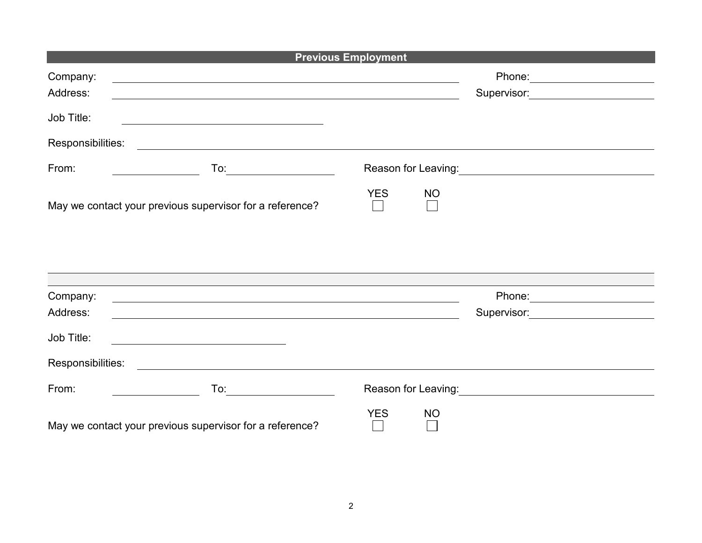| <b>Previous Employment</b>                                                                                                                                                                                                                                                                                                                                                           |                                               |  |  |  |  |  |  |  |  |
|--------------------------------------------------------------------------------------------------------------------------------------------------------------------------------------------------------------------------------------------------------------------------------------------------------------------------------------------------------------------------------------|-----------------------------------------------|--|--|--|--|--|--|--|--|
| Company:<br>and the control of the control of the control of the control of the control of the control of the control of the<br>Address:                                                                                                                                                                                                                                             | Phone: 2008<br>Supervisor: 2000               |  |  |  |  |  |  |  |  |
| Job Title:<br><u> 1989 - Johann John Stone, markin film yn y brening yn y brening yn y brening y brening yn y brening y brenin</u>                                                                                                                                                                                                                                                   |                                               |  |  |  |  |  |  |  |  |
| Responsibilities:<br><u> 1989 - Jan Sterne Sterne Sterne Sterne Sterne Sterne Sterne Sterne Sterne Sterne Sterne Sterne Sterne Sterne</u>                                                                                                                                                                                                                                            |                                               |  |  |  |  |  |  |  |  |
| From:                                                                                                                                                                                                                                                                                                                                                                                |                                               |  |  |  |  |  |  |  |  |
| May we contact your previous supervisor for a reference?                                                                                                                                                                                                                                                                                                                             | <b>YES</b><br><b>NO</b>                       |  |  |  |  |  |  |  |  |
|                                                                                                                                                                                                                                                                                                                                                                                      |                                               |  |  |  |  |  |  |  |  |
| Company:                                                                                                                                                                                                                                                                                                                                                                             |                                               |  |  |  |  |  |  |  |  |
| Address:                                                                                                                                                                                                                                                                                                                                                                             | Supervisor: <u>__________________________</u> |  |  |  |  |  |  |  |  |
| Job Title:                                                                                                                                                                                                                                                                                                                                                                           |                                               |  |  |  |  |  |  |  |  |
| Responsibilities:<br><u> 1989 - Johann Barnett, fransk politiker (d. 1989)</u>                                                                                                                                                                                                                                                                                                       |                                               |  |  |  |  |  |  |  |  |
| From:<br>$\overline{a}$ To: $\overline{a}$ $\overline{a}$ $\overline{a}$ $\overline{a}$ $\overline{a}$ $\overline{a}$ $\overline{a}$ $\overline{a}$ $\overline{a}$ $\overline{a}$ $\overline{a}$ $\overline{a}$ $\overline{a}$ $\overline{a}$ $\overline{a}$ $\overline{a}$ $\overline{a}$ $\overline{a}$ $\overline{a}$ $\overline{a}$ $\overline{a}$ $\overline{a}$ $\overline{a}$ |                                               |  |  |  |  |  |  |  |  |
| May we contact your previous supervisor for a reference?                                                                                                                                                                                                                                                                                                                             | <b>YES</b><br><b>NO</b>                       |  |  |  |  |  |  |  |  |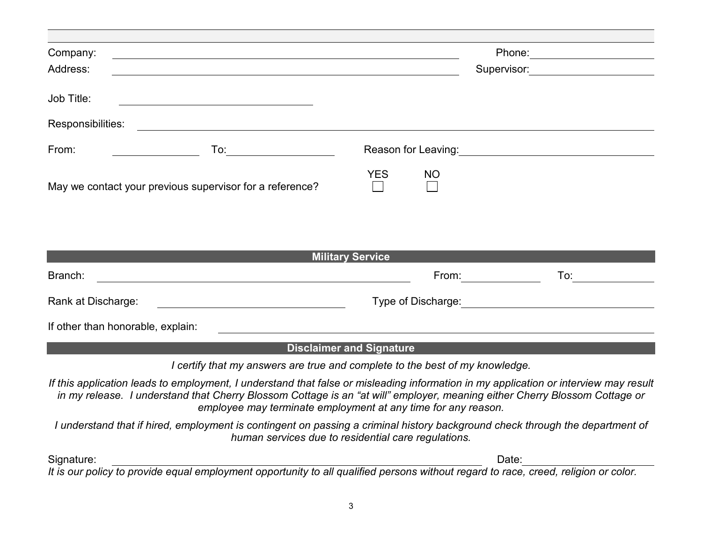| Company:                                                                                                                                                                                                                                                                                                                            |                                       |    |                                                                                                                                                                                                                                |     |  |
|-------------------------------------------------------------------------------------------------------------------------------------------------------------------------------------------------------------------------------------------------------------------------------------------------------------------------------------|---------------------------------------|----|--------------------------------------------------------------------------------------------------------------------------------------------------------------------------------------------------------------------------------|-----|--|
| Address:                                                                                                                                                                                                                                                                                                                            |                                       |    | Supervisor:                                                                                                                                                                                                                    |     |  |
| Job Title:                                                                                                                                                                                                                                                                                                                          |                                       |    |                                                                                                                                                                                                                                |     |  |
| Responsibilities:<br><u> 1980 - Johann Stoff, deutscher Stoffen und der Stoffen und der Stoffen und der Stoffen und der Stoffen und de</u>                                                                                                                                                                                          |                                       |    |                                                                                                                                                                                                                                |     |  |
| From:                                                                                                                                                                                                                                                                                                                               |                                       |    | Reason for Leaving: The control of the control of the control of the control of the control of the control of the control of the control of the control of the control of the control of the control of the control of the con |     |  |
| May we contact your previous supervisor for a reference?                                                                                                                                                                                                                                                                            | <b>YES</b>                            | NO |                                                                                                                                                                                                                                |     |  |
|                                                                                                                                                                                                                                                                                                                                     |                                       |    |                                                                                                                                                                                                                                |     |  |
|                                                                                                                                                                                                                                                                                                                                     | <b>Military Service</b>               |    |                                                                                                                                                                                                                                |     |  |
| <u> 1980 - Johann Barbara, martxa amerikan personal (</u><br>Branch:                                                                                                                                                                                                                                                                |                                       |    | From: The contract of the contract of the contract of the contract of the contract of the contract of the contract of the contract of the contract of the contract of the contract of the contract of the contract of the cont | To: |  |
| Rank at Discharge:                                                                                                                                                                                                                                                                                                                  | Type of Discharge: Type of Discharge: |    |                                                                                                                                                                                                                                |     |  |
| If other than honorable, explain:                                                                                                                                                                                                                                                                                                   |                                       |    |                                                                                                                                                                                                                                |     |  |
| <b>Disclaimer and Signature</b>                                                                                                                                                                                                                                                                                                     |                                       |    |                                                                                                                                                                                                                                |     |  |
| I certify that my answers are true and complete to the best of my knowledge.                                                                                                                                                                                                                                                        |                                       |    |                                                                                                                                                                                                                                |     |  |
| If this application leads to employment, I understand that false or misleading information in my application or interview may result<br>in my release. I understand that Cherry Blossom Cottage is an "at will" employer, meaning either Cherry Blossom Cottage or<br>employee may terminate employment at any time for any reason. |                                       |    |                                                                                                                                                                                                                                |     |  |
| I understand that if hired, employment is contingent on passing a criminal history background check through the department of<br>human services due to residential care regulations.                                                                                                                                                |                                       |    |                                                                                                                                                                                                                                |     |  |
| Signature:                                                                                                                                                                                                                                                                                                                          |                                       |    | Date:                                                                                                                                                                                                                          |     |  |
| It is our policy to provide equal employment opportunity to all qualified persons without regard to race, creed, religion or color.                                                                                                                                                                                                 |                                       |    |                                                                                                                                                                                                                                |     |  |